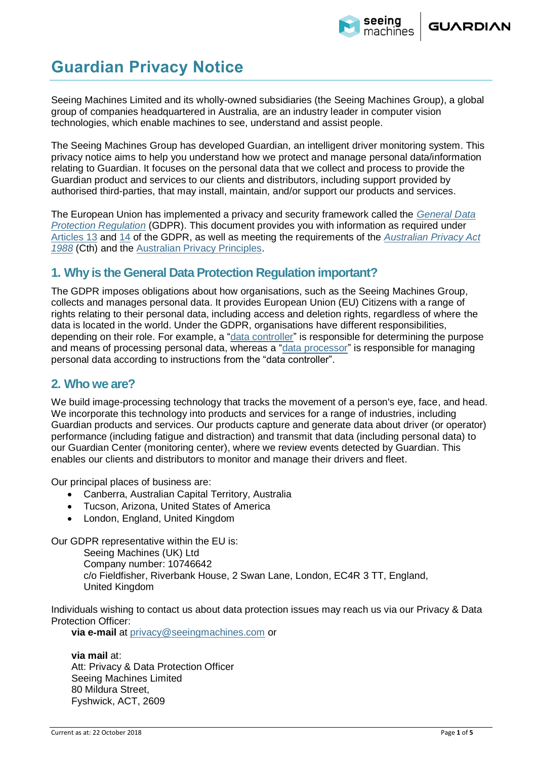

# **Guardian Privacy Notice**

Seeing Machines Limited and its wholly-owned subsidiaries (the Seeing Machines Group), a global group of companies headquartered in Australia, are an industry leader in computer vision technologies, which enable machines to see, understand and assist people.

The Seeing Machines Group has developed Guardian, an intelligent driver monitoring system. This privacy notice aims to help you understand how we protect and manage personal data/information relating to Guardian. It focuses on the personal data that we collect and process to provide the Guardian product and services to our clients and distributors, including support provided by authorised third-parties, that may install, maintain, and/or support our products and services.

The European Union has implemented a privacy and security framework called the *[General Data](https://gdpr-info.eu/art-25-gdpr/)  [Protection Regulation](https://gdpr-info.eu/art-25-gdpr/)* (GDPR). This document provides you with information as required under [Articles](https://gdpr-info.eu/art-13-gdpr/) 13 and [14](https://gdpr-info.eu/art-14-gdpr/) of the GDPR, as well as meeting the requirements of the *[Australian Privacy Act](https://www.legislation.gov.au/details/c2014c00076)  1988* [\(Cth\)](https://www.legislation.gov.au/details/c2014c00076) and the [Australian Privacy Principles.](https://www.oaic.gov.au/privacy-law/privacy-act/australian-privacy-principles)

### **1. Why is the General Data Protection Regulation important?**

The GDPR imposes obligations about how organisations, such as the Seeing Machines Group, collects and manages personal data. It provides European Union (EU) Citizens with a range of rights relating to their personal data, including access and deletion rights, regardless of where the data is located in the world. Under the GDPR, organisations have different responsibilities, depending on their role. For example, a ["data controller"](https://gdpr-info.eu/art-24-gdpr/) is responsible for determining the purpose and means of processing personal data, whereas a ["data processor"](https://gdpr-info.eu/art-28-gdpr/) is responsible for managing personal data according to instructions from the "data controller".

### **2. Who we are?**

We build image-processing technology that tracks the movement of a person's eye, face, and head. We incorporate this technology into products and services for a range of industries, including Guardian products and services. Our products capture and generate data about driver (or operator) performance (including fatigue and distraction) and transmit that data (including personal data) to our Guardian Center (monitoring center), where we review events detected by Guardian. This enables our clients and distributors to monitor and manage their drivers and fleet.

Our principal places of business are:

- Canberra, Australian Capital Territory, Australia
- Tucson, Arizona, United States of America
- London, England, United Kingdom

Our GDPR representative within the EU is:

Seeing Machines (UK) Ltd Company number: 10746642 c/o Fieldfisher, Riverbank House, 2 Swan Lane, London, EC4R 3 TT, England, United Kingdom

Individuals wishing to contact us about data protection issues may reach us via our Privacy & Data Protection Officer:

**via e**‐**mail** at [privacy@seeingmachines.com](mailto:privacy@seeingmachines.com) or

**via mail** at: Att: Privacy & Data Protection Officer Seeing Machines Limited 80 Mildura Street, Fyshwick, ACT, 2609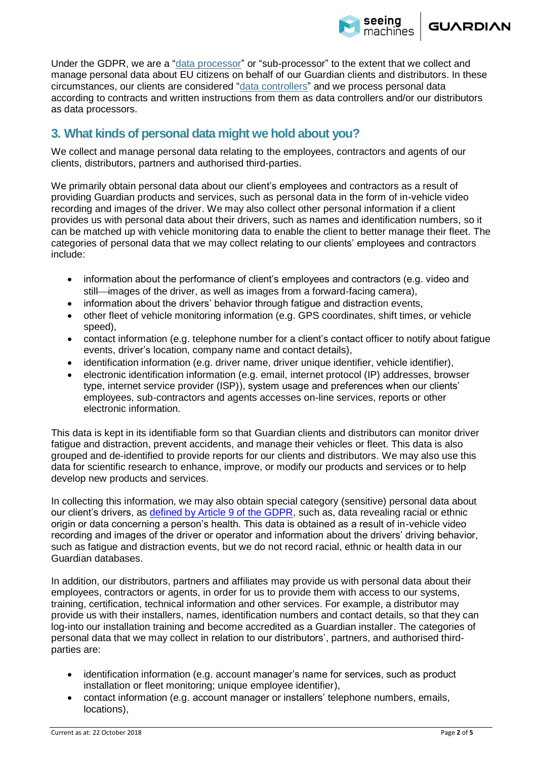

Under the GDPR, we are a ["data processor"](https://gdpr-info.eu/art-28-gdpr/) or "sub-processor" to the extent that we collect and manage personal data about EU citizens on behalf of our Guardian clients and distributors. In these circumstances, our clients are considered ["data controllers"](https://gdpr-info.eu/art-24-gdpr/) and we process personal data according to contracts and written instructions from them as data controllers and/or our distributors as data processors.

### **3. What kinds of personal data might we hold about you?**

We collect and manage personal data relating to the employees, contractors and agents of our clients, distributors, partners and authorised third-parties.

We primarily obtain personal data about our client's employees and contractors as a result of providing Guardian products and services, such as personal data in the form of in-vehicle video recording and images of the driver. We may also collect other personal information if a client provides us with personal data about their drivers, such as names and identification numbers, so it can be matched up with vehicle monitoring data to enable the client to better manage their fleet. The categories of personal data that we may collect relating to our clients' employees and contractors include:

- information about the performance of client's employees and contractors (e.g. video and still—images of the driver, as well as images from a forward-facing camera),
- information about the drivers' behavior through fatigue and distraction events,
- other fleet of vehicle monitoring information (e.g. GPS coordinates, shift times, or vehicle speed),
- contact information (e.g. telephone number for a client's contact officer to notify about fatigue events, driver's location, company name and contact details),
- identification information (e.g. driver name, driver unique identifier, vehicle identifier),
- electronic identification information (e.g. email, internet protocol (IP) addresses, browser type, internet service provider (ISP)), system usage and preferences when our clients' employees, sub-contractors and agents accesses on-line services, reports or other electronic information.

This data is kept in its identifiable form so that Guardian clients and distributors can monitor driver fatigue and distraction, prevent accidents, and manage their vehicles or fleet. This data is also grouped and de-identified to provide reports for our clients and distributors. We may also use this data for scientific research to enhance, improve, or modify our products and services or to help develop new products and services.

In collecting this information, we may also obtain special category (sensitive) personal data about our client's drivers, as [defined by Article 9 of the GDPR,](https://gdpr-info.eu/art-9-gdpr/) such as, data revealing racial or ethnic origin or data concerning a person's health. This data is obtained as a result of in-vehicle video recording and images of the driver or operator and information about the drivers' driving behavior, such as fatigue and distraction events, but we do not record racial, ethnic or health data in our Guardian databases.

In addition, our distributors, partners and affiliates may provide us with personal data about their employees, contractors or agents, in order for us to provide them with access to our systems, training, certification, technical information and other services. For example, a distributor may provide us with their installers, names, identification numbers and contact details, so that they can log-into our installation training and become accredited as a Guardian installer. The categories of personal data that we may collect in relation to our distributors', partners, and authorised thirdparties are:

- identification information (e.g. account manager's name for services, such as product installation or fleet monitoring; unique employee identifier),
- contact information (e.g. account manager or installers' telephone numbers, emails, locations),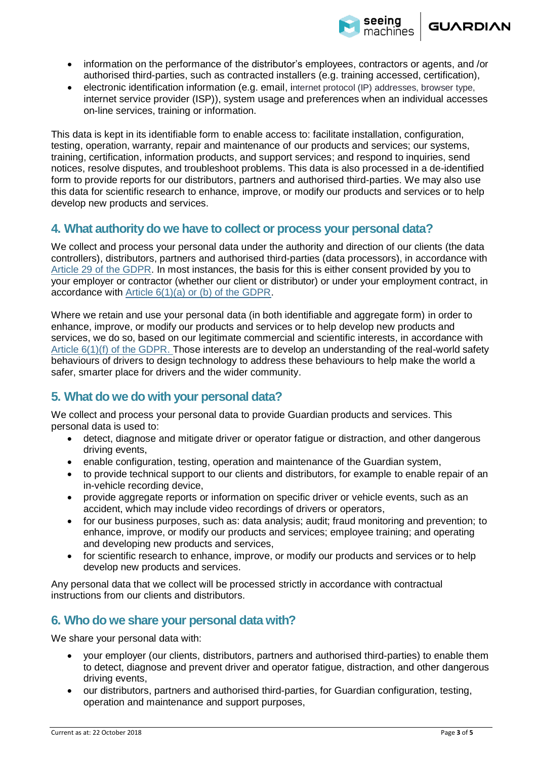

- information on the performance of the distributor's employees, contractors or agents, and /or authorised third-parties, such as contracted installers (e.g. training accessed, certification),
- electronic identification information (e.g. email, internet protocol (IP) addresses, browser type, internet service provider (ISP)), system usage and preferences when an individual accesses on-line services, training or information.

This data is kept in its identifiable form to enable access to: facilitate installation, configuration, testing, operation, warranty, repair and maintenance of our products and services; our systems, training, certification, information products, and support services; and respond to inquiries, send notices, resolve disputes, and troubleshoot problems. This data is also processed in a de-identified form to provide reports for our distributors, partners and authorised third-parties. We may also use this data for scientific research to enhance, improve, or modify our products and services or to help develop new products and services.

#### **4. What authority do we have to collect or process your personal data?**

We collect and process your personal data under the authority and direction of our clients (the data controllers), distributors, partners and authorised third-parties (data processors), in accordance with [Article 29 of the GDPR.](https://gdpr-info.eu/art-29-gdpr/) In most instances, the basis for this is either consent provided by you to your employer or contractor (whether our client or distributor) or under your employment contract, in accordance with [Article 6\(1\)\(a\) or \(b\) of the GDPR.](https://gdpr-info.eu/art-6-gdpr/) 

Where we retain and use your personal data (in both identifiable and aggregate form) in order to enhance, improve, or modify our products and services or to help develop new products and services, we do so, based on our legitimate commercial and scientific interests, in accordance with [Article 6\(1\)\(f\) of the GDPR.](https://gdpr-info.eu/art-6-gdpr/) Those interests are to develop an understanding of the real-world safety behaviours of drivers to design technology to address these behaviours to help make the world a safer, smarter place for drivers and the wider community.

### **5. What do we do with your personal data?**

We collect and process your personal data to provide Guardian products and services. This personal data is used to:

- detect, diagnose and mitigate driver or operator fatigue or distraction, and other dangerous driving events,
- enable configuration, testing, operation and maintenance of the Guardian system,
- to provide technical support to our clients and distributors, for example to enable repair of an in-vehicle recording device,
- provide aggregate reports or information on specific driver or vehicle events, such as an accident, which may include video recordings of drivers or operators,
- for our business purposes, such as: data analysis; audit; fraud monitoring and prevention; to enhance, improve, or modify our products and services; employee training; and operating and developing new products and services,
- for scientific research to enhance, improve, or modify our products and services or to help develop new products and services.

Any personal data that we collect will be processed strictly in accordance with contractual instructions from our clients and distributors.

### **6. Who do we share your personal data with?**

We share your personal data with:

- your employer (our clients, distributors, partners and authorised third-parties) to enable them to detect, diagnose and prevent driver and operator fatigue, distraction, and other dangerous driving events,
- our distributors, partners and authorised third-parties, for Guardian configuration, testing, operation and maintenance and support purposes,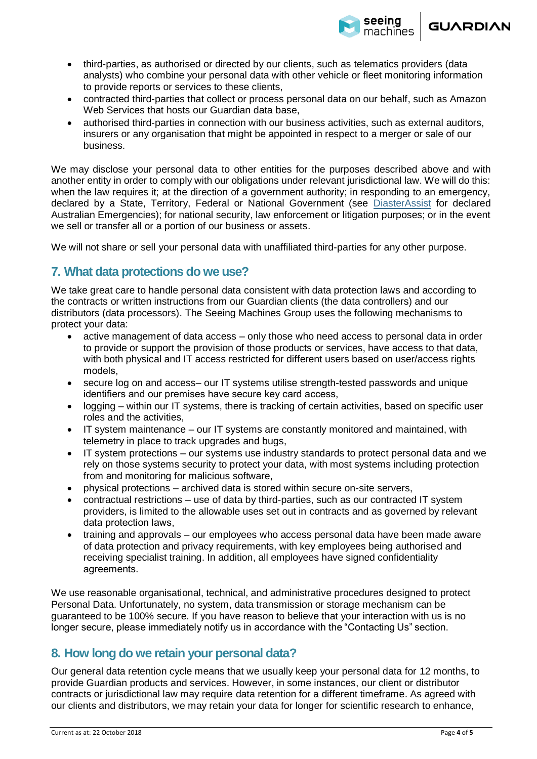

- third-parties, as authorised or directed by our clients, such as telematics providers (data analysts) who combine your personal data with other vehicle or fleet monitoring information to provide reports or services to these clients,
- contracted third-parties that collect or process personal data on our behalf, such as Amazon Web Services that hosts our Guardian data base,
- authorised third-parties in connection with our business activities, such as external auditors, insurers or any organisation that might be appointed in respect to a merger or sale of our business.

We may disclose your personal data to other entities for the purposes described above and with another entity in order to comply with our obligations under relevant jurisdictional law. We will do this: when the law requires it; at the direction of a government authority; in responding to an emergency, declared by a State, Territory, Federal or National Government (see [DiasterAssist](https://www.disasterassist.gov.au/) for declared Australian Emergencies); for national security, law enforcement or litigation purposes; or in the event we sell or transfer all or a portion of our business or assets.

We will not share or sell your personal data with unaffiliated third-parties for any other purpose.

### **7. What data protections do we use?**

We take great care to handle personal data consistent with data protection laws and according to the contracts or written instructions from our Guardian clients (the data controllers) and our distributors (data processors). The Seeing Machines Group uses the following mechanisms to protect your data:

- active management of data access only those who need access to personal data in order to provide or support the provision of those products or services, have access to that data, with both physical and IT access restricted for different users based on user/access rights models,
- secure log on and access– our IT systems utilise strength-tested passwords and unique identifiers and our premises have secure key card access,
- logging within our IT systems, there is tracking of certain activities, based on specific user roles and the activities,
- IT system maintenance our IT systems are constantly monitored and maintained, with telemetry in place to track upgrades and bugs,
- IT system protections our systems use industry standards to protect personal data and we rely on those systems security to protect your data, with most systems including protection from and monitoring for malicious software,
- physical protections archived data is stored within secure on-site servers,
- contractual restrictions use of data by third-parties, such as our contracted IT system providers, is limited to the allowable uses set out in contracts and as governed by relevant data protection laws,
- training and approvals our employees who access personal data have been made aware of data protection and privacy requirements, with key employees being authorised and receiving specialist training. In addition, all employees have signed confidentiality agreements.

We use reasonable organisational, technical, and administrative procedures designed to protect Personal Data. Unfortunately, no system, data transmission or storage mechanism can be guaranteed to be 100% secure. If you have reason to believe that your interaction with us is no longer secure, please immediately notify us in accordance with the "Contacting Us" section.

#### **8. How long do we retain your personal data?**

Our general data retention cycle means that we usually keep your personal data for 12 months, to provide Guardian products and services. However, in some instances, our client or distributor contracts or jurisdictional law may require data retention for a different timeframe. As agreed with our clients and distributors, we may retain your data for longer for scientific research to enhance,